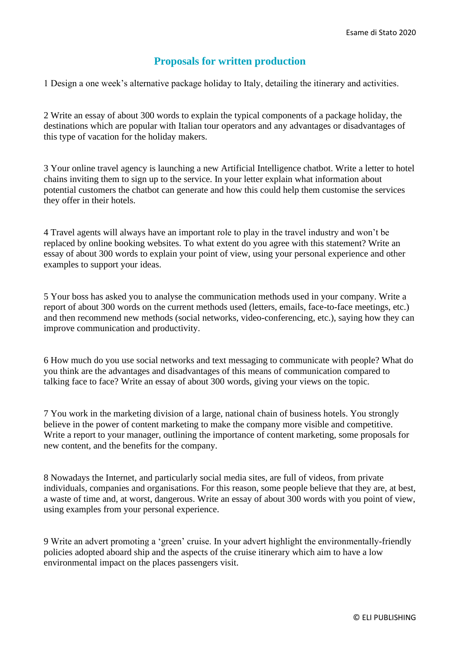## **Proposals for written production**

1 Design a one week's alternative package holiday to Italy, detailing the itinerary and activities.

2 Write an essay of about 300 words to explain the typical components of a package holiday, the destinations which are popular with Italian tour operators and any advantages or disadvantages of this type of vacation for the holiday makers.

3 Your online travel agency is launching a new Artificial Intelligence chatbot. Write a letter to hotel chains inviting them to sign up to the service. In your letter explain what information about potential customers the chatbot can generate and how this could help them customise the services they offer in their hotels.

4 Travel agents will always have an important role to play in the travel industry and won't be replaced by online booking websites. To what extent do you agree with this statement? Write an essay of about 300 words to explain your point of view, using your personal experience and other examples to support your ideas.

5 Your boss has asked you to analyse the communication methods used in your company. Write a report of about 300 words on the current methods used (letters, emails, face-to-face meetings, etc.) and then recommend new methods (social networks, video-conferencing, etc.), saying how they can improve communication and productivity.

6 How much do you use social networks and text messaging to communicate with people? What do you think are the advantages and disadvantages of this means of communication compared to talking face to face? Write an essay of about 300 words, giving your views on the topic.

7 You work in the marketing division of a large, national chain of business hotels. You strongly believe in the power of content marketing to make the company more visible and competitive. Write a report to your manager, outlining the importance of content marketing, some proposals for new content, and the benefits for the company.

8 Nowadays the Internet, and particularly social media sites, are full of videos, from private individuals, companies and organisations. For this reason, some people believe that they are, at best, a waste of time and, at worst, dangerous. Write an essay of about 300 words with you point of view, using examples from your personal experience.

9 Write an advert promoting a 'green' cruise. In your advert highlight the environmentally-friendly policies adopted aboard ship and the aspects of the cruise itinerary which aim to have a low environmental impact on the places passengers visit.